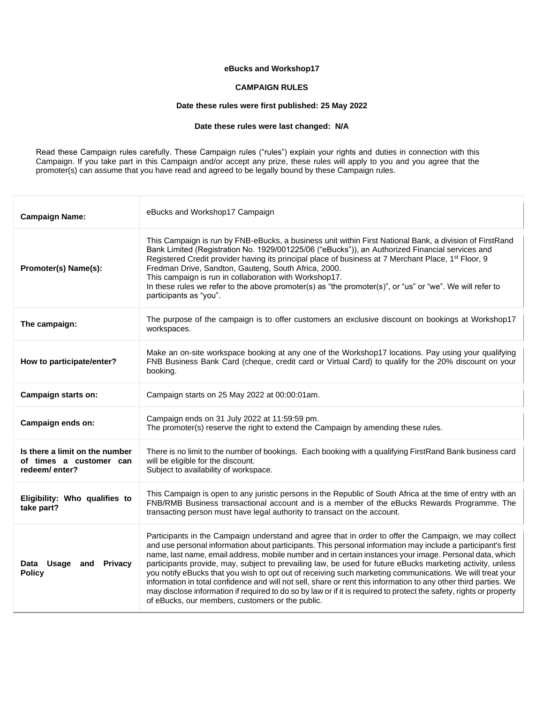# **eBucks and Workshop17**

#### **CAMPAIGN RULES**

# **Date these rules were first published: 25 May 2022**

# **Date these rules were last changed: N/A**

Ť

Read these Campaign rules carefully. These Campaign rules ("rules") explain your rights and duties in connection with this Campaign. If you take part in this Campaign and/or accept any prize, these rules will apply to you and you agree that the promoter(s) can assume that you have read and agreed to be legally bound by these Campaign rules.

| <b>Campaign Name:</b>                                                      | eBucks and Workshop17 Campaign                                                                                                                                                                                                                                                                                                                                                                                                                                                                                                                                                        |
|----------------------------------------------------------------------------|---------------------------------------------------------------------------------------------------------------------------------------------------------------------------------------------------------------------------------------------------------------------------------------------------------------------------------------------------------------------------------------------------------------------------------------------------------------------------------------------------------------------------------------------------------------------------------------|
| Promoter(s) Name(s):                                                       | This Campaign is run by FNB-eBucks, a business unit within First National Bank, a division of FirstRand<br>Bank Limited (Registration No. 1929/001225/06 ("eBucks")), an Authorized Financial services and<br>Registered Credit provider having its principal place of business at 7 Merchant Place, 1 <sup>st</sup> Floor, 9<br>Fredman Drive, Sandton, Gauteng, South Africa, 2000.<br>This campaign is run in collaboration with Workshop17.<br>In these rules we refer to the above promoter(s) as "the promoter(s)", or "us" or "we". We will refer to<br>participants as "you". |
| The campaign:                                                              | The purpose of the campaign is to offer customers an exclusive discount on bookings at Workshop17<br>workspaces.                                                                                                                                                                                                                                                                                                                                                                                                                                                                      |
| How to participate/enter?                                                  | Make an on-site workspace booking at any one of the Workshop17 locations. Pay using your qualifying<br>FNB Business Bank Card (cheque, credit card or Virtual Card) to qualify for the 20% discount on your<br>booking.                                                                                                                                                                                                                                                                                                                                                               |
| Campaign starts on:                                                        | Campaign starts on 25 May 2022 at 00:00:01am.                                                                                                                                                                                                                                                                                                                                                                                                                                                                                                                                         |
|                                                                            |                                                                                                                                                                                                                                                                                                                                                                                                                                                                                                                                                                                       |
| Campaign ends on:                                                          | Campaign ends on 31 July 2022 at 11:59:59 pm.<br>The promoter(s) reserve the right to extend the Campaign by amending these rules.                                                                                                                                                                                                                                                                                                                                                                                                                                                    |
| Is there a limit on the number<br>of times a customer can<br>redeem/enter? | There is no limit to the number of bookings. Each booking with a qualifying FirstRand Bank business card<br>will be eligible for the discount.<br>Subject to availability of workspace.                                                                                                                                                                                                                                                                                                                                                                                               |
| Eligibility: Who qualifies to<br>take part?                                | This Campaign is open to any juristic persons in the Republic of South Africa at the time of entry with an<br>FNB/RMB Business transactional account and is a member of the eBucks Rewards Programme. The<br>transacting person must have legal authority to transact on the account.                                                                                                                                                                                                                                                                                                 |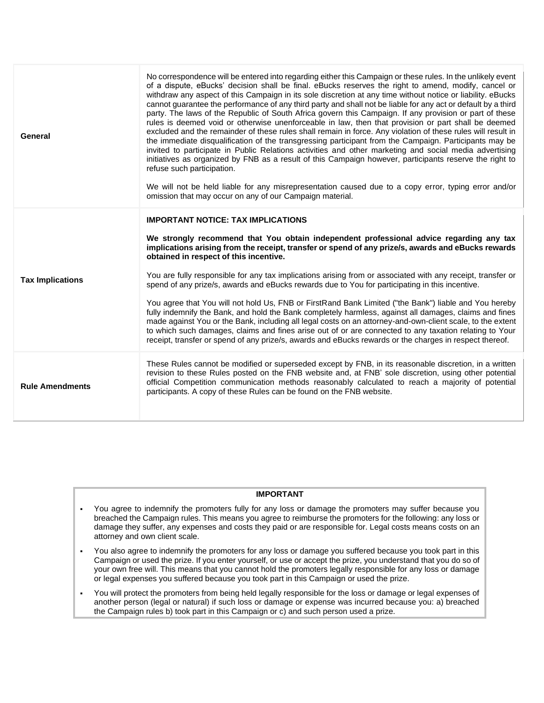| General                 | No correspondence will be entered into regarding either this Campaign or these rules. In the unlikely event<br>of a dispute, eBucks' decision shall be final. eBucks reserves the right to amend, modify, cancel or<br>withdraw any aspect of this Campaign in its sole discretion at any time without notice or liability. eBucks<br>cannot guarantee the performance of any third party and shall not be liable for any act or default by a third<br>party. The laws of the Republic of South Africa govern this Campaign. If any provision or part of these<br>rules is deemed void or otherwise unenforceable in law, then that provision or part shall be deemed<br>excluded and the remainder of these rules shall remain in force. Any violation of these rules will result in<br>the immediate disqualification of the transgressing participant from the Campaign. Participants may be<br>invited to participate in Public Relations activities and other marketing and social media advertising<br>initiatives as organized by FNB as a result of this Campaign however, participants reserve the right to<br>refuse such participation.<br>We will not be held liable for any misrepresentation caused due to a copy error, typing error and/or<br>omission that may occur on any of our Campaign material. |
|-------------------------|------------------------------------------------------------------------------------------------------------------------------------------------------------------------------------------------------------------------------------------------------------------------------------------------------------------------------------------------------------------------------------------------------------------------------------------------------------------------------------------------------------------------------------------------------------------------------------------------------------------------------------------------------------------------------------------------------------------------------------------------------------------------------------------------------------------------------------------------------------------------------------------------------------------------------------------------------------------------------------------------------------------------------------------------------------------------------------------------------------------------------------------------------------------------------------------------------------------------------------------------------------------------------------------------------------------------|
| <b>Tax Implications</b> | <b>IMPORTANT NOTICE: TAX IMPLICATIONS</b><br>We strongly recommend that You obtain independent professional advice regarding any tax<br>implications arising from the receipt, transfer or spend of any prize/s, awards and eBucks rewards<br>obtained in respect of this incentive.<br>You are fully responsible for any tax implications arising from or associated with any receipt, transfer or<br>spend of any prize/s, awards and eBucks rewards due to You for participating in this incentive.<br>You agree that You will not hold Us, FNB or FirstRand Bank Limited ("the Bank") liable and You hereby<br>fully indemnify the Bank, and hold the Bank completely harmless, against all damages, claims and fines<br>made against You or the Bank, including all legal costs on an attorney-and-own-client scale, to the extent<br>to which such damages, claims and fines arise out of or are connected to any taxation relating to Your<br>receipt, transfer or spend of any prize/s, awards and eBucks rewards or the charges in respect thereof.                                                                                                                                                                                                                                                           |
| <b>Rule Amendments</b>  | These Rules cannot be modified or superseded except by FNB, in its reasonable discretion, in a written<br>revision to these Rules posted on the FNB website and, at FNB' sole discretion, using other potential<br>official Competition communication methods reasonably calculated to reach a majority of potential<br>participants. A copy of these Rules can be found on the FNB website.                                                                                                                                                                                                                                                                                                                                                                                                                                                                                                                                                                                                                                                                                                                                                                                                                                                                                                                           |

#### **IMPORTANT**

- You agree to indemnify the promoters fully for any loss or damage the promoters may suffer because you breached the Campaign rules. This means you agree to reimburse the promoters for the following: any loss or damage they suffer, any expenses and costs they paid or are responsible for. Legal costs means costs on an attorney and own client scale.
- You also agree to indemnify the promoters for any loss or damage you suffered because you took part in this Campaign or used the prize. If you enter yourself, or use or accept the prize, you understand that you do so of your own free will. This means that you cannot hold the promoters legally responsible for any loss or damage or legal expenses you suffered because you took part in this Campaign or used the prize.
- You will protect the promoters from being held legally responsible for the loss or damage or legal expenses of another person (legal or natural) if such loss or damage or expense was incurred because you: a) breached the Campaign rules b) took part in this Campaign or c) and such person used a prize.